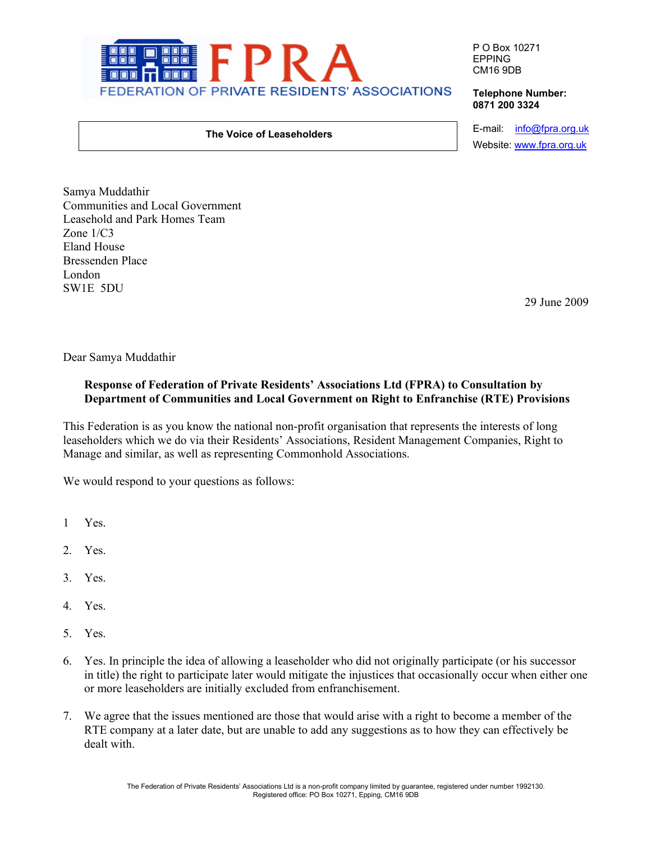

P O Box 10271 EPPING CM16 9DB

## **Telephone Number: 0871 200 3324**

## **The Voice of Leaseholders**

e-mail: info@fpra.org.uk Website: www.fpra.org.uk

Samya Muddathir Communities and Local Government Leasehold and Park Homes Team Zone 1/C3 Eland House Bressenden Place London SW1E 5DU

29 June 2009

Dear Samya Muddathir

## **Response of Federation of Private Residents' Associations Ltd (FPRA) to Consultation by Department of Communities and Local Government on Right to Enfranchise (RTE) Provisions**

This Federation is as you know the national non-profit organisation that represents the interests of long leaseholders which we do via their Residents' Associations, Resident Management Companies, Right to Manage and similar, as well as representing Commonhold Associations.

We would respond to your questions as follows:

- 1 Yes.
- 2. Yes.
- 3. Yes.
- 4. Yes.
- 5. Yes.
- 6. Yes. In principle the idea of allowing a leaseholder who did not originally participate (or his successor in title) the right to participate later would mitigate the injustices that occasionally occur when either one or more leaseholders are initially excluded from enfranchisement.
- 7. We agree that the issues mentioned are those that would arise with a right to become a member of the RTE company at a later date, but are unable to add any suggestions as to how they can effectively be dealt with.